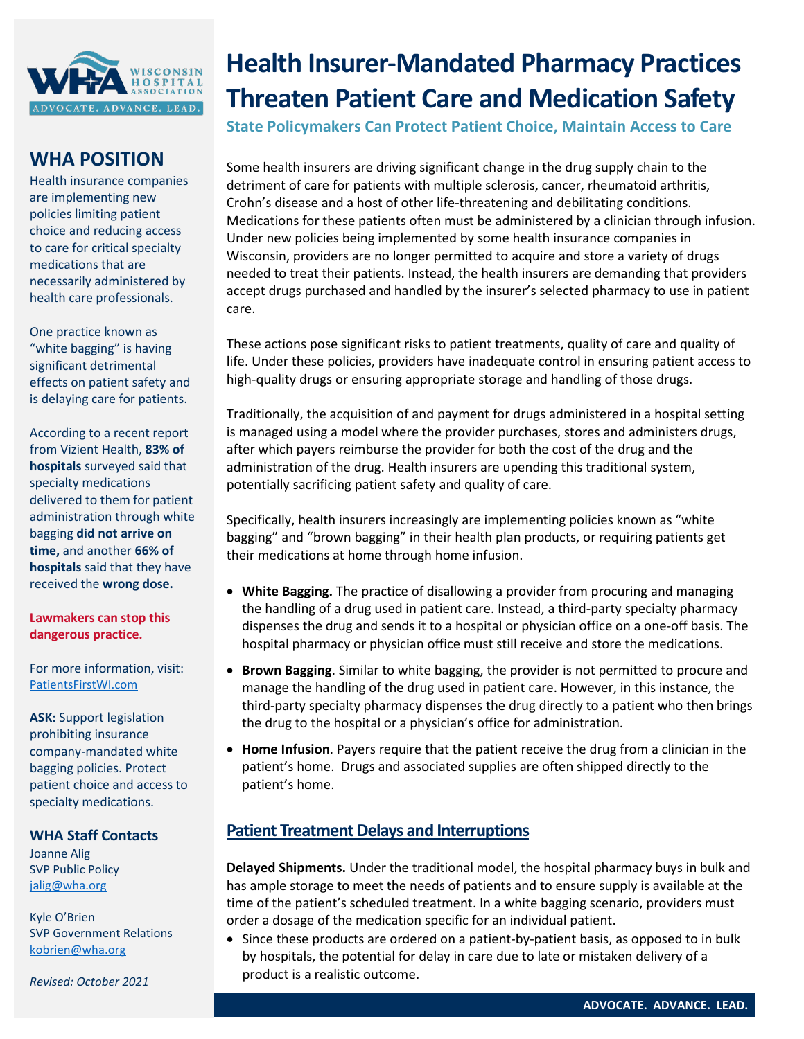

## **WHA POSITION**

Health insurance companies are implementing new policies limiting patient choice and reducing access to care for critical specialty medications that are necessarily administered by health care professionals.

One practice known as "white bagging" is having significant detrimental effects on patient safety and is delaying care for patients.

According to a recent report from Vizient Health, **83% of hospitals** surveyed said that specialty medications delivered to them for patient administration through white bagging **did not arrive on time,** and another **66% of hospitals** said that they have received the **wrong dose.**

**Lawmakers can stop this dangerous practice.**

For more information, visit: [PatientsFirstWI.com](http://www.patientsfirstwi.com/)

**ASK:** Support legislation prohibiting insurance company-mandated white bagging policies. Protect patient choice and access to specialty medications.

**WHA Staff Contacts**

Joanne Alig SVP Public Policy  [jalig@wha.org](mailto:jalig@wha.org)

Kyle O'Brien SVP Government Relations [kobrien@wha.org](mailto:kobrien@wha.org)

 *Revised: October 2021*

## **Health Insurer-Mandated Pharmacy Practices Threaten Patient Care and Medication Safety**

**State Policymakers Can Protect Patient Choice, Maintain Access to Care**

Some health insurers are driving significant change in the drug supply chain to the detriment of care for patients with multiple sclerosis, cancer, rheumatoid arthritis, Crohn's disease and a host of other life-threatening and debilitating conditions. Medications for these patients often must be administered by a clinician through infusion. Under new policies being implemented by some health insurance companies in Wisconsin, providers are no longer permitted to acquire and store a variety of drugs needed to treat their patients. Instead, the health insurers are demanding that providers accept drugs purchased and handled by the insurer's selected pharmacy to use in patient care.

These actions pose significant risks to patient treatments, quality of care and quality of life. Under these policies, providers have inadequate control in ensuring patient access to high-quality drugs or ensuring appropriate storage and handling of those drugs.

Traditionally, the acquisition of and payment for drugs administered in a hospital setting is managed using a model where the provider purchases, stores and administers drugs, after which payers reimburse the provider for both the cost of the drug and the administration of the drug. Health insurers are upending this traditional system, potentially sacrificing patient safety and quality of care.

Specifically, health insurers increasingly are implementing policies known as "white bagging" and "brown bagging" in their health plan products, or requiring patients get their medications at home through home infusion.

- **White Bagging.** The practice of disallowing a provider from procuring and managing the handling of a drug used in patient care. Instead, a third-party specialty pharmacy dispenses the drug and sends it to a hospital or physician office on a one-off basis. The hospital pharmacy or physician office must still receive and store the medications.
- **Brown Bagging**. Similar to white bagging, the provider is not permitted to procure and manage the handling of the drug used in patient care. However, in this instance, the third-party specialty pharmacy dispenses the drug directly to a patient who then brings the drug to the hospital or a physician's office for administration.
- **Home Infusion**. Payers require that the patient receive the drug from a clinician in the patient's home. Drugs and associated supplies are often shipped directly to the patient's home.

## **Patient Treatment Delays and Interruptions**

**Delayed Shipments.** Under the traditional model, the hospital pharmacy buys in bulk and has ample storage to meet the needs of patients and to ensure supply is available at the time of the patient's scheduled treatment. In a white bagging scenario, providers must order a dosage of the medication specific for an individual patient.

• Since these products are ordered on a patient-by-patient basis, as opposed to in bulk by hospitals, the potential for delay in care due to late or mistaken delivery of a product is a realistic outcome.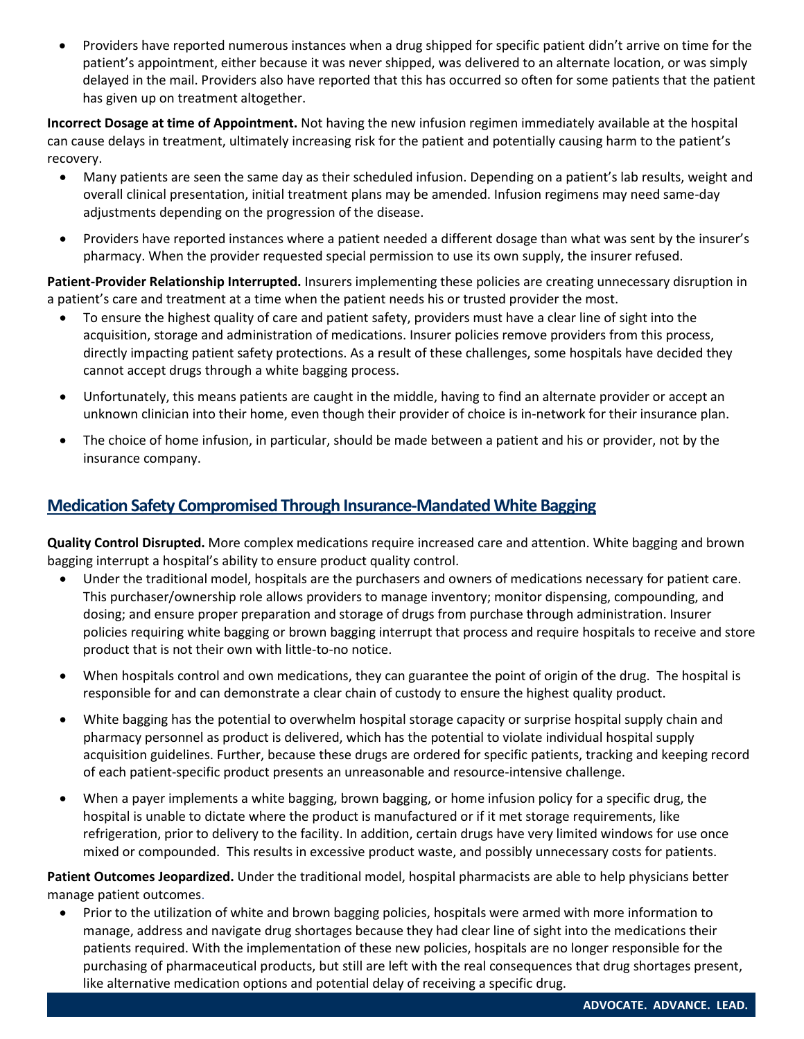• Providers have reported numerous instances when a drug shipped for specific patient didn't arrive on time for the patient's appointment, either because it was never shipped, was delivered to an alternate location, or was simply delayed in the mail. Providers also have reported that this has occurred so often for some patients that the patient has given up on treatment altogether.

**Incorrect Dosage at time of Appointment.** Not having the new infusion regimen immediately available at the hospital can cause delays in treatment, ultimately increasing risk for the patient and potentially causing harm to the patient's recovery.

- Many patients are seen the same day as their scheduled infusion. Depending on a patient's lab results, weight and overall clinical presentation, initial treatment plans may be amended. Infusion regimens may need same-day adjustments depending on the progression of the disease.
- Providers have reported instances where a patient needed a different dosage than what was sent by the insurer's pharmacy. When the provider requested special permission to use its own supply, the insurer refused.

**Patient-Provider Relationship Interrupted.** Insurers implementing these policies are creating unnecessary disruption in a patient's care and treatment at a time when the patient needs his or trusted provider the most.

- To ensure the highest quality of care and patient safety, providers must have a clear line of sight into the acquisition, storage and administration of medications. Insurer policies remove providers from this process, directly impacting patient safety protections. As a result of these challenges, some hospitals have decided they cannot accept drugs through a white bagging process.
- Unfortunately, this means patients are caught in the middle, having to find an alternate provider or accept an unknown clinician into their home, even though their provider of choice is in-network for their insurance plan.
- The choice of home infusion, in particular, should be made between a patient and his or provider, not by the insurance company.

## **Medication Safety Compromised Through Insurance-Mandated White Bagging**

**Quality Control Disrupted.** More complex medications require increased care and attention. White bagging and brown bagging interrupt a hospital's ability to ensure product quality control.

- Under the traditional model, hospitals are the purchasers and owners of medications necessary for patient care. This purchaser/ownership role allows providers to manage inventory; monitor dispensing, compounding, and dosing; and ensure proper preparation and storage of drugs from purchase through administration. Insurer policies requiring white bagging or brown bagging interrupt that process and require hospitals to receive and store product that is not their own with little-to-no notice.
- When hospitals control and own medications, they can guarantee the point of origin of the drug. The hospital is responsible for and can demonstrate a clear chain of custody to ensure the highest quality product.
- White bagging has the potential to overwhelm hospital storage capacity or surprise hospital supply chain and pharmacy personnel as product is delivered, which has the potential to violate individual hospital supply acquisition guidelines. Further, because these drugs are ordered for specific patients, tracking and keeping record of each patient-specific product presents an unreasonable and resource-intensive challenge.
- When a payer implements a white bagging, brown bagging, or home infusion policy for a specific drug, the hospital is unable to dictate where the product is manufactured or if it met storage requirements, like refrigeration, prior to delivery to the facility. In addition, certain drugs have very limited windows for use once mixed or compounded. This results in excessive product waste, and possibly unnecessary costs for patients.

**Patient Outcomes Jeopardized.** Under the traditional model, hospital pharmacists are able to help physicians better manage patient outcomes.

• Prior to the utilization of white and brown bagging policies, hospitals were armed with more information to manage, address and navigate drug shortages because they had clear line of sight into the medications their patients required. With the implementation of these new policies, hospitals are no longer responsible for the purchasing of pharmaceutical products, but still are left with the real consequences that drug shortages present, like alternative medication options and potential delay of receiving a specific drug.